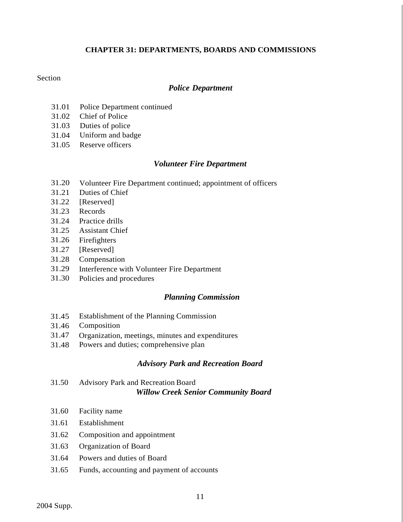## **CHAPTER 31: DEPARTMENTS, BOARDS AND COMMISSIONS**

## Section

### *Police Department*

- 31.01 Police Department continued
- 31.02 Chief of Police
- 31.03 Duties of police
- 31.04 Uniform and badge
- 31.05 Reserve officers

## *Volunteer Fire Department*

- 31.20 Volunteer Fire Department continued; appointment of officers
- 31.21 Duties of Chief
- 31.22 [Reserved]
- 31.23 Records
- 31.24 Practice drills
- 31.25 Assistant Chief
- 31.26 Firefighters
- 31.27 [Reserved]
- 31.28 Compensation
- 31.29 Interference with Volunteer Fire Department
- 31.30 Policies and procedures

### *Planning Commission*

- 31.45 Establishment of the Planning Commission
- 31.46 Composition
- 31.47 Organization, meetings, minutes and expenditures
- 31.48 Powers and duties; comprehensive plan

## *Advisory Park and Recreation Board*

- 31.50 Advisory Park and Recreation Board *Willow Creek Senior Community Board*
- 31.60 Facility name
- 31.61 Establishment
- 31.62 Composition and appointment
- 31.63 Organization of Board
- 31.64 Powers and duties of Board
- 31.65 Funds, accounting and payment of accounts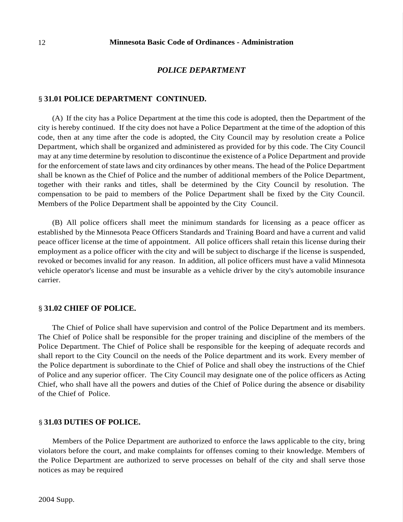### *POLICE DEPARTMENT*

#### § **31.01 POLICE DEPARTMENT CONTINUED.**

(A) If the city has a Police Department at the time this code is adopted, then the Department of the city is hereby continued. If the city does not have a Police Department at the time of the adoption of this code, then at any time after the code is adopted, the City Council may by resolution create a Police Department, which shall be organized and administered as provided for by this code. The City Council may at any time determine by resolution to discontinue the existence of a Police Department and provide for the enforcement of state laws and city ordinances by other means. The head of the Police Department shall be known as the Chief of Police and the number of additional members of the Police Department, together with their ranks and titles, shall be determined by the City Council by resolution. The compensation to be paid to members of the Police Department shall be fixed by the City Council. Members of the Police Department shall be appointed by the City Council.

(B) All police officers shall meet the minimum standards for licensing as a peace officer as established by the Minnesota Peace Officers Standards and Training Board and have a current and valid peace officer license at the time of appointment. All police officers shall retain this license during their employment as a police officer with the city and will be subject to discharge if the license is suspended, revoked or becomes invalid for any reason. In addition, all police officers must have a valid Minnesota vehicle operator's license and must be insurable as a vehicle driver by the city's automobile insurance carrier.

### § **31.02 CHIEF OF POLICE.**

The Chief of Police shall have supervision and control of the Police Department and its members. The Chief of Police shall be responsible for the proper training and discipline of the members of the Police Department. The Chief of Police shall be responsible for the keeping of adequate records and shall report to the City Council on the needs of the Police department and its work. Every member of the Police department is subordinate to the Chief of Police and shall obey the instructions of the Chief of Police and any superior officer. The City Council may designate one of the police officers as Acting Chief, who shall have all the powers and duties of the Chief of Police during the absence or disability of the Chief of Police.

### § **31.03 DUTIES OF POLICE.**

Members of the Police Department are authorized to enforce the laws applicable to the city, bring violators before the court, and make complaints for offenses coming to their knowledge. Members of the Police Department are authorized to serve processes on behalf of the city and shall serve those notices as may be required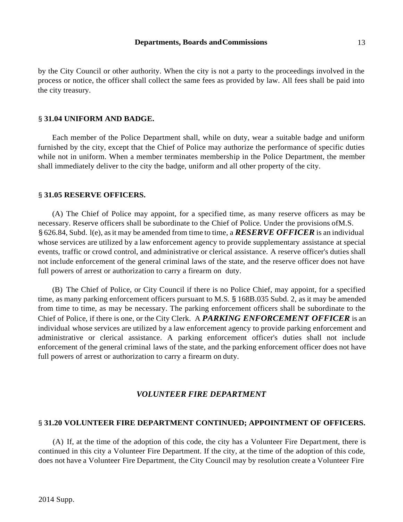#### **Departments, Boards and Commissions** 13

by the City Council or other authority. When the city is not a party to the proceedings involved in the process or notice, the officer shall collect the same fees as provided by law. All fees shall be paid into the city treasury.

#### § **31.04 UNIFORM AND BADGE.**

Each member of the Police Department shall, while on duty, wear a suitable badge and uniform furnished by the city, except that the Chief of Police may authorize the performance of specific duties while not in uniform. When a member terminates membership in the Police Department, the member shall immediately deliver to the city the badge, uniform and all other property of the city.

#### § **31.05 RESERVE OFFICERS.**

(A) The Chief of Police may appoint, for a specified time, as many reserve officers as may be necessary. Reserve officers shall be subordinate to the Chief of Police. Under the provisions ofM.S. § 626.84, Subd. l(e), asit may be amended from time to time, a *RESERVE OFFICER* is an individual whose services are utilized by a law enforcement agency to provide supplementary assistance at special events, traffic or crowd control, and administrative or clerical assistance. A reserve officer's duties shall not include enforcement of the general criminal laws of the state, and the reserve officer does not have full powers of arrest or authorization to carry a firearm on duty.

(B) The Chief of Police, or City Council if there is no Police Chief, may appoint, for a specified time, as many parking enforcement officers pursuant to M.S. § 168B.035 Subd. 2, as it may be amended from time to time, as may be necessary. The parking enforcement officers shall be subordinate to the Chief of Police, if there is one, or the City Clerk. A *PARKING ENFORCEMENT OFFICER* is an individual whose services are utilized by a law enforcement agency to provide parking enforcement and administrative or clerical assistance. A parking enforcement officer's duties shall not include enforcement of the general criminal laws of the state, and the parking enforcement officer does not have full powers of arrest or authorization to carry a firearm on duty.

### *VOLUNTEER FIRE DEPARTMENT*

### § **31.20 VOLUNTEER FIRE DEPARTMENT CONTINUED; APPOINTMENT OF OFFICERS.**

(A) If, at the time of the adoption of this code, the city has a Volunteer Fire Department, there is continued in this city a Volunteer Fire Department. If the city, at the time of the adoption of this code, does not have a Volunteer Fire Department, the City Council may by resolution create a Volunteer Fire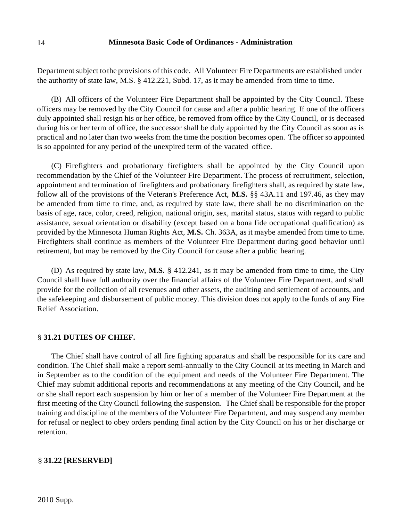#### 14 **Minnesota Basic Code of Ordinances - Administration**

Department subject to the provisions of this code. All Volunteer Fire Departments are established under the authority of state law, M.S. § 412.221, Subd. 17, as it may be amended from time to time.

(B) All officers of the Volunteer Fire Department shall be appointed by the City Council. These officers may be removed by the City Council for cause and after a public hearing. If one of the officers duly appointed shall resign his or her office, be removed from office by the City Council, or is deceased during his or her term of office, the successor shall be duly appointed by the City Council as soon as is practical and no later than two weeks from the time the position becomes open. The officer so appointed is so appointed for any period of the unexpired term of the vacated office.

(C) Firefighters and probationary firefighters shall be appointed by the City Council upon recommendation by the Chief of the Volunteer Fire Department. The process of recruitment, selection, appointment and termination of firefighters and probationary firefighters shall, as required by state law, follow all of the provisions of the Veteran's Preference Act, **M.S.** §§ 43A.11 and 197.46, as they may be amended from time to time, and, as required by state law, there shall be no discrimination on the basis of age, race, color, creed, religion, national origin, sex, marital status, status with regard to public assistance, sexual orientation or disability (except based on a bona fide occupational qualification) as provided by the Minnesota Human Rights Act, **M.S.** Ch. 363A, as it maybe amended from time to time. Firefighters shall continue as members of the Volunteer Fire Department during good behavior until retirement, but may be removed by the City Council for cause after a public hearing.

(D) As required by state law, **M.S.** § 412.241, as it may be amended from time to time, the City Council shall have full authority over the financial affairs of the Volunteer Fire Department, and shall provide for the collection of all revenues and other assets, the auditing and settlement of accounts, and the safekeeping and disbursement of public money. This division does not apply to the funds of any Fire Relief Association.

#### § **31.21 DUTIES OF CHIEF.**

The Chief shall have control of all fire fighting apparatus and shall be responsible for its care and condition. The Chief shall make a report semi-annually to the City Council at its meeting in March and in September as to the condition of the equipment and needs of the Volunteer Fire Department. The Chief may submit additional reports and recommendations at any meeting of the City Council, and he or she shall report each suspension by him or her of a member of the Volunteer Fire Department at the first meeting of the City Council following the suspension. The Chief shall be responsible for the proper training and discipline of the members of the Volunteer Fire Department, and may suspend any member for refusal or neglect to obey orders pending final action by the City Council on his or her discharge or retention.

## § **31.22 [RESERVED]**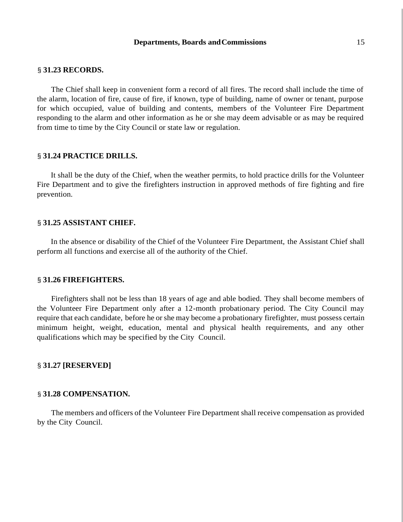#### **Departments, Boards and Commissions** 15

#### § **31.23 RECORDS.**

The Chief shall keep in convenient form a record of all fires. The record shall include the time of the alarm, location of fire, cause of fire, if known, type of building, name of owner or tenant, purpose for which occupied, value of building and contents, members of the Volunteer Fire Department responding to the alarm and other information as he or she may deem advisable or as may be required from time to time by the City Council or state law or regulation.

#### § **31.24 PRACTICE DRILLS.**

It shall be the duty of the Chief, when the weather permits, to hold practice drills for the Volunteer Fire Department and to give the firefighters instruction in approved methods of fire fighting and fire prevention.

#### § **31.25 ASSISTANT CHIEF.**

In the absence or disability of the Chief of the Volunteer Fire Department, the Assistant Chief shall perform all functions and exercise all of the authority of the Chief.

#### § **31.26 FIREFIGHTERS.**

Firefighters shall not be less than 18 years of age and able bodied. They shall become members of the Volunteer Fire Department only after a 12-month probationary period. The City Council may require that each candidate, before he or she may become a probationary firefighter, must possess certain minimum height, weight, education, mental and physical health requirements, and any other qualifications which may be specified by the City Council.

#### § **31.27 [RESERVED]**

#### § **31.28 COMPENSATION.**

The members and officers of the Volunteer Fire Department shall receive compensation as provided by the City Council.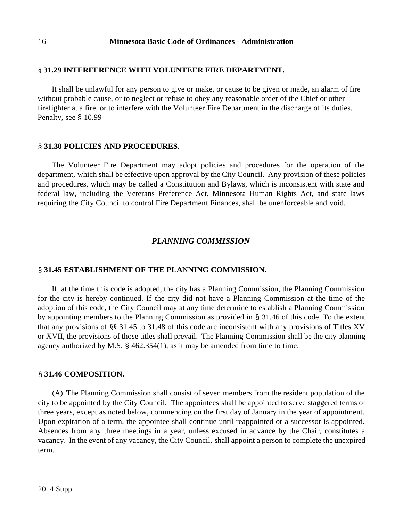## § **31.29 INTERFERENCE WITH VOLUNTEER FIRE DEPARTMENT.**

It shall be unlawful for any person to give or make, or cause to be given or made, an alarm of fire without probable cause, or to neglect or refuse to obey any reasonable order of the Chief or other firefighter at a fire, or to interfere with the Volunteer Fire Department in the discharge of its duties. Penalty, see § 10.99

## § **31.30 POLICIES AND PROCEDURES.**

The Volunteer Fire Department may adopt policies and procedures for the operation of the department, which shall be effective upon approval by the City Council. Any provision of these policies and procedures, which may be called a Constitution and Bylaws, which is inconsistent with state and federal law, including the Veterans Preference Act, Minnesota Human Rights Act, and state laws requiring the City Council to control Fire Department Finances, shall be unenforceable and void.

# *PLANNING COMMISSION*

# § **31.45 ESTABLISHMENT OF THE PLANNING COMMISSION.**

If, at the time this code is adopted, the city has a Planning Commission, the Planning Commission for the city is hereby continued. If the city did not have a Planning Commission at the time of the adoption of this code, the City Council may at any time determine to establish a Planning Commission by appointing members to the Planning Commission as provided in § 31.46 of this code. To the extent that any provisions of §§ 31.45 to 31.48 of this code are inconsistent with any provisions of Titles XV or XVII, the provisions of those titles shall prevail. The Planning Commission shall be the city planning agency authorized by M.S. § 462.354(1), as it may be amended from time to time.

## § **31.46 COMPOSITION.**

(A) The Planning Commission shall consist of seven members from the resident population of the city to be appointed by the City Council. The appointees shall be appointed to serve staggered terms of three years, except as noted below, commencing on the first day of January in the year of appointment. Upon expiration of a term, the appointee shall continue until reappointed or a successor is appointed. Absences from any three meetings in a year, unless excused in advance by the Chair, constitutes a vacancy. In the event of any vacancy, the City Council, shall appoint a person to complete the unexpired term.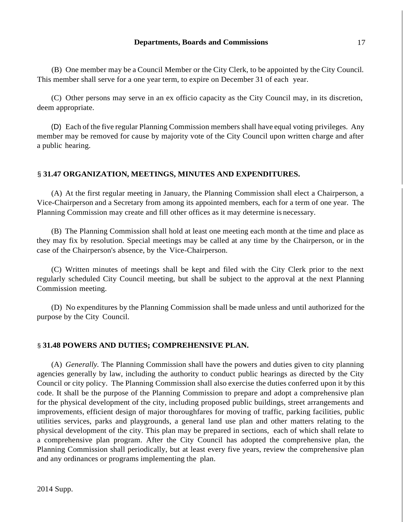(B) One member may be a Council Member or the City Clerk, to be appointed by the City Council. This member shall serve for a one year term, to expire on December 31 of each year.

(C) Other persons may serve in an ex officio capacity as the City Council may, in its discretion, deem appropriate.

(D) Each of the five regular Planning Commission members shall have equal voting privileges. Any member may be removed for cause by majority vote of the City Council upon written charge and after a public hearing.

## § **31.47 ORGANIZATION, MEETINGS, MINUTES AND EXPENDITURES.**

(A) At the first regular meeting in January, the Planning Commission shall elect a Chairperson, a Vice-Chairperson and a Secretary from among its appointed members, each for a term of one year. The Planning Commission may create and fill other offices as it may determine is necessary.

(B) The Planning Commission shall hold at least one meeting each month at the time and place as they may fix by resolution. Special meetings may be called at any time by the Chairperson, or in the case of the Chairperson's absence, by the Vice-Chairperson.

(C) Written minutes of meetings shall be kept and filed with the City Clerk prior to the next regularly scheduled City Council meeting, but shall be subject to the approval at the next Planning Commission meeting.

(D) No expenditures by the Planning Commission shall be made unless and until authorized for the purpose by the City Council.

## § **31.48 POWERS AND DUTIES; COMPREHENSIVE PLAN.**

(A) *Generally.* The Planning Commission shall have the powers and duties given to city planning agencies generally by law, including the authority to conduct public hearings as directed by the City Council or city policy. The Planning Commission shall also exercise the duties conferred upon it by this code. It shall be the purpose of the Planning Commission to prepare and adopt a comprehensive plan for the physical development of the city, including proposed public buildings, street arrangements and improvements, efficient design of major thoroughfares for moving of traffic, parking facilities, public utilities services, parks and playgrounds, a general land use plan and other matters relating to the physical development of the city. This plan may be prepared in sections, each of which shall relate to a comprehensive plan program. After the City Council has adopted the comprehensive plan, the Planning Commission shall periodically, but at least every five years, review the comprehensive plan and any ordinances or programs implementing the plan.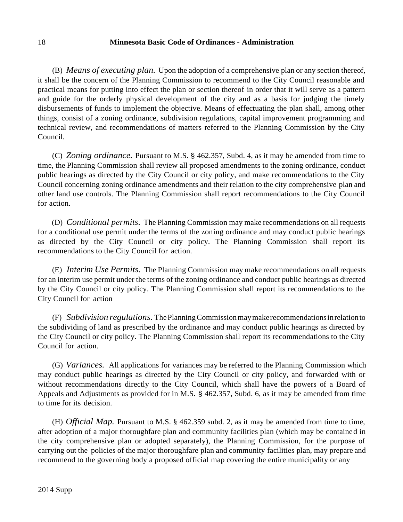### 18 **Minnesota Basic Code of Ordinances - Administration**

(B) *Means of executing plan.* Upon the adoption of a comprehensive plan or any section thereof, it shall be the concern of the Planning Commission to recommend to the City Council reasonable and practical means for putting into effect the plan or section thereof in order that it will serve as a pattern and guide for the orderly physical development of the city and as a basis for judging the timely disbursements of funds to implement the objective. Means of effectuating the plan shall, among other things, consist of a zoning ordinance, subdivision regulations, capital improvement programming and technical review, and recommendations of matters referred to the Planning Commission by the City Council.

(C) *Zoning ordinance.* Pursuant to M.S. § 462.357, Subd. 4, as it may be amended from time to time, the Planning Commission shall review all proposed amendments to the zoning ordinance, conduct public hearings as directed by the City Council or city policy, and make recommendations to the City Council concerning zoning ordinance amendments and their relation to the city comprehensive plan and other land use controls. The Planning Commission shall report recommendations to the City Council for action.

(D) *Conditional permits.* The Planning Commission may make recommendations on all requests for a conditional use permit under the terms of the zoning ordinance and may conduct public hearings as directed by the City Council or city policy. The Planning Commission shall report its recommendations to the City Council for action.

(E) *Interim Use Permits.* The Planning Commission may make recommendations on all requests for an interim use permit under the terms of the zoning ordinance and conduct public hearings as directed by the City Council or city policy. The Planning Commission shall report its recommendations to the City Council for action

(F) *Subdivision regulations.* ThePlanningCommissionmaymakerecommendationsinrelationto the subdividing of land as prescribed by the ordinance and may conduct public hearings as directed by the City Council or city policy. The Planning Commission shall report its recommendations to the City Council for action.

(G) *Variances.* All applications for variances may be referred to the Planning Commission which may conduct public hearings as directed by the City Council or city policy, and forwarded with or without recommendations directly to the City Council, which shall have the powers of a Board of Appeals and Adjustments as provided for in M.S. § 462.357, Subd. 6, as it may be amended from time to time for its decision.

(H) *Official Map.* Pursuant to M.S. § 462.359 subd. 2, as it may be amended from time to time, after adoption of a major thoroughfare plan and community facilities plan (which may be contained in the city comprehensive plan or adopted separately), the Planning Commission, for the purpose of carrying out the policies of the major thoroughfare plan and community facilities plan, may prepare and recommend to the governing body a proposed official map covering the entire municipality or any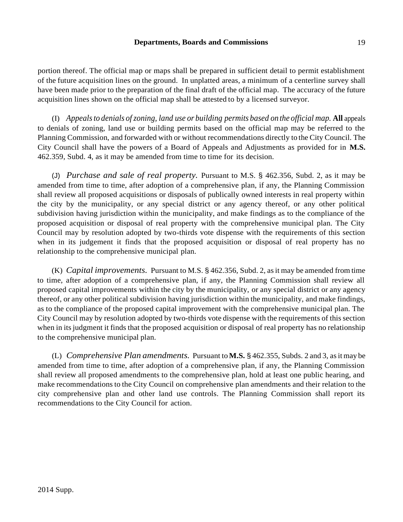### **Departments, Boards and Commissions** 19

portion thereof. The official map or maps shall be prepared in sufficient detail to permit establishment of the future acquisition lines on the ground. In unplatted areas, a minimum of a centerline survey shall have been made prior to the preparation of the final draft of the official map. The accuracy of the future acquisition lines shown on the official map shall be attested to by a licensed surveyor.

(I) *Appealsto denials ofzoning, land use or building permits based on the official map.* **All** appeals to denials of zoning, land use or building permits based on the official map may be referred to the Planning Commission, and forwarded with or without recommendations directly to the City Council. The City Council shall have the powers of a Board of Appeals and Adjustments as provided for in **M.S.**  462.359, Subd. 4, as it may be amended from time to time for its decision.

(J) *Purchase and sale of real property.* Pursuant to M.S. § 462.356, Subd. 2, as it may be amended from time to time, after adoption of a comprehensive plan, if any, the Planning Commission shall review all proposed acquisitions or disposals of publically owned interests in real property within the city by the municipality, or any special district or any agency thereof, or any other political subdivision having jurisdiction within the municipality, and make findings as to the compliance of the proposed acquisition or disposal of real property with the comprehensive municipal plan. The City Council may by resolution adopted by two-thirds vote dispense with the requirements of this section when in its judgement it finds that the proposed acquisition or disposal of real property has no relationship to the comprehensive municipal plan.

(K) *Capital improvements.* Pursuant to M.S. § 462.356, Subd. 2, asit may be amended from time to time, after adoption of a comprehensive plan, if any, the Planning Commission shall review all proposed capital improvements within the city by the municipality, or any special district or any agency thereof, or any other political subdivision having jurisdiction within the municipality, and make findings, as to the compliance of the proposed capital improvement with the comprehensive municipal plan. The City Council may by resolution adopted by two-thirds vote dispense with the requirements of thissection when in its judgment it finds that the proposed acquisition or disposal of real property has no relationship to the comprehensive municipal plan.

(L) *Comprehensive Plan amendments.* Pursuant to**M.S.** § 462.355, Subds. 2 and 3, asit may be amended from time to time, after adoption of a comprehensive plan, if any, the Planning Commission shall review all proposed amendments to the comprehensive plan, hold at least one public hearing, and make recommendations to the City Council on comprehensive plan amendments and their relation to the city comprehensive plan and other land use controls. The Planning Commission shall report its recommendations to the City Council for action.